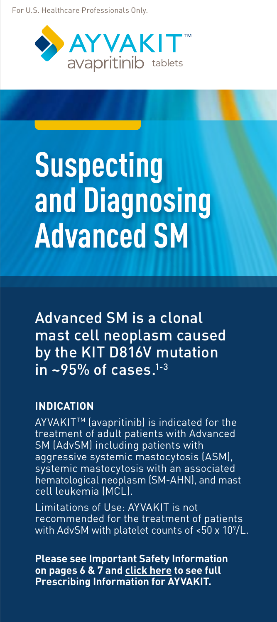For U.S. Healthcare Professionals Only.



# **Suspecting and Diagnosing Advanced SM**

Advanced SM is a clonal mast cell neoplasm caused by the KIT D816V mutation in  $\sim$ 95% of cases.<sup>1-3</sup>

### **INDICATION**

AYVAKIT<sup>™</sup> (avapritinib) is indicated for the treatment of adult patients with Advanced SM (AdvSM) including patients with aggressive systemic mastocytosis (ASM), systemic mastocytosis with an associated hematological neoplasm (SM-AHN), and mast cell leukemia (MCL).

Limitations of Use: AYVAKIT is not recommended for the treatment of patients with AdvSM with platelet counts of <50 x 10°/L.  $\,$ 

**Please see Important Safety Information on pages 6 & 7 and [click here](https://www.blueprintmedicines.com/wp-content/uploads/uspi/AYVAKIT.pdf) to see full Prescribing Information for AYVAKIT.**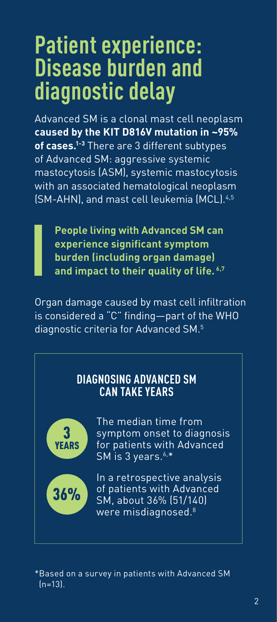# **Patient experience: Disease burden and diagnostic delay**

Advanced SM is a clonal mast cell neoplasm **caused by the KIT D816V mutation in ~95% of cases.1-3** There are 3 different subtypes of Advanced SM: aggressive systemic mastocytosis (ASM), systemic mastocytosis with an associated hematological neoplasm (SM-AHN), and mast cell leukemia (MCL).4,5

**People living with Advanced SM can experience significant symptom burden (including organ damage) and impact to their quality of life. 6,7**

Organ damage caused by mast cell infiltration is considered a "C" finding—part of the WHO diagnostic criteria for Advanced SM.5

# **DIAGNOSING ADVANCED SM CAN TAKE YEARS**



The median time from symptom onset to diagnosis for patients with Advanced SM is 3 years. $6.$ \*

In a retrospective analysis of patients with Advanced SM, about 36% (51/140) were misdiagnosed.<sup>8</sup>

\*Based on a survey in patients with Advanced SM (n=13).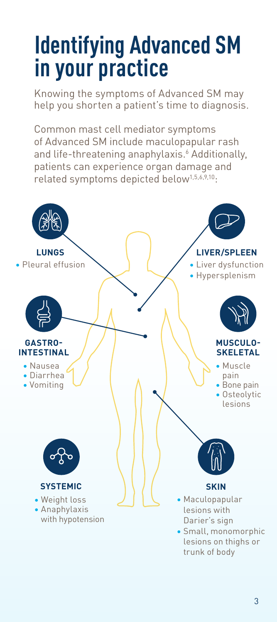# **Identifying Advanced SM in your practice**

Knowing the symptoms of Advanced SM may help you shorten a patient's time to diagnosis.

Common mast cell mediator symptoms of Advanced SM include maculopapular rash and life-threatening anaphylaxis.<sup>6</sup> Additionally, patients can experience organ damage and related symptoms depicted below1,5,6,9,10:

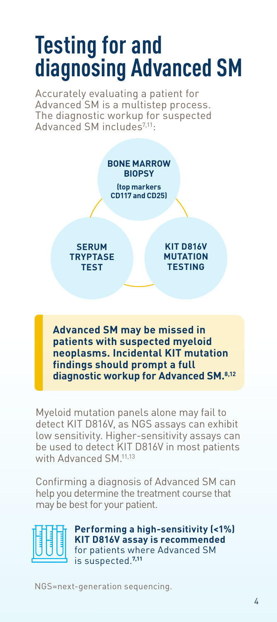# **Testing for and diagnosing Advanced SM**

Accurately evaluating a patient for Advanced SM is a multistep process. The diagnostic workup for suspected Advanced SM includes7,11:



**Advanced SM may be missed in patients with suspected myeloid neoplasms. Incidental KIT mutation findings should prompt a full diagnostic workup for Advanced SM.8,12**

Myeloid mutation panels alone may fail to detect KIT D816V, as NGS assays can exhibit low sensitivity. Higher-sensitivity assays can be used to detect KIT D816V in most patients with Advanced SM.<sup>11,13</sup>

Confirming a diagnosis of Advanced SM can help you determine the treatment course that may be best for your patient.



**Performing a high-sensitivity (<1%) KIT D816V assay is recommended**  for patients where Advanced SM is suspected.**7,11**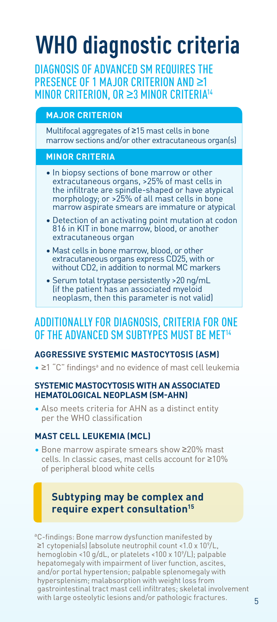# **WHO diagnostic criteria**

DIAGNOSIS OF ADVANCED SM REQUIRES THE PRESENCE OF 1 MAJOR CRITERION AND ≥1 MINOR CRITERION, OR ≥3 MINOR CRITERIA14

#### **MAJOR CRITERION**

Multifocal aggregates of ≥15 mast cells in bone marrow sections and/or other extracutaneous organ(s)

#### **MINOR CRITERIA**

- In biopsy sections of bone marrow or other extracutaneous organs, >25% of mast cells in the infiltrate are spindle-shaped or have atypical morphology; or >25% of all mast cells in bone marrow aspirate smears are immature or atypical
- Detection of an activating point mutation at codon 816 in KIT in bone marrow, blood, or another extracutaneous organ
- Mast cells in bone marrow, blood, or other extracutaneous organs express CD25, with or without CD2, in addition to normal MC markers
- Serum total tryptase persistently >20 ng/mL (if the patient has an associated myeloid neoplasm, then this parameter is not valid)

# ADDITIONALLY FOR DIAGNOSIS, CRITERIA FOR ONE OF THE ADVANCED SM SUBTYPES MUST BE MET<sup>14</sup>

### **AGGRESSIVE SYSTEMIC MASTOCYTOSIS (ASM)**

• ≥1 "C" findings<sup>ª</sup> and no evidence of mast cell leukemia

#### **SYSTEMIC MASTOCYTOSIS WITH AN ASSOCIATED HEMATOLOGICAL NEOPLASM (SM-AHN)**

• Also meets criteria for AHN as a distinct entity per the WHO classification

#### **MAST CELL LEUKEMIA (MCL)**

• Bone marrow aspirate smears show ≥20% mast cells. In classic cases, mast cells account for ≥10% of peripheral blood white cells

# **Subtyping may be complex and require expert consultation15**

<sup>a</sup>C-findings: Bone marrow dysfunction manifested by ≥1 cytopenia(s) (absolute neutrophil count <1.0 x 109 /L, hemoglobin <10 g/dL, or platelets <100 x 109 /L); palpable hepatomegaly with impairment of liver function, ascites, and/or portal hypertension; palpable splenomegaly with hypersplenism; malabsorption with weight loss from gastrointestinal tract mast cell infiltrates; skeletal involvement with large osteolytic lesions and/or pathologic fractures.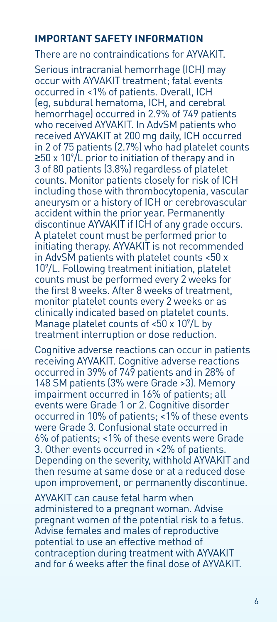## **IMPORTANT SAFETY INFORMATION**

### There are no contraindications for AYVAKIT.

Serious intracranial hemorrhage (ICH) may occur with AYVAKIT treatment; fatal events occurred in <1% of patients. Overall, ICH (eg, subdural hematoma, ICH, and cerebral hemorrhage) occurred in 2.9% of 749 patients who received AYVAKIT. In AdvSM patients who received AYVAKIT at 200 mg daily, ICH occurred in 2 of 75 patients (2.7%) who had platelet counts ≥50 x 10°/L prior to initiation of therapy and in 3 of 80 patients (3.8%) regardless of platelet counts. Monitor patients closely for risk of ICH including those with thrombocytopenia, vascular aneurysm or a history of ICH or cerebrovascular accident within the prior year. Permanently discontinue AYVAKIT if ICH of any grade occurs. A platelet count must be performed prior to initiating therapy. AYVAKIT is not recommended in AdvSM patients with platelet counts <50 x 109 /L. Following treatment initiation, platelet counts must be performed every 2 weeks for the first 8 weeks. After 8 weeks of treatment, monitor platelet counts every 2 weeks or as clinically indicated based on platelet counts. Manage platelet counts of  $<$ 50 x 10 $^{\circ}$ /L by treatment interruption or dose reduction.

Cognitive adverse reactions can occur in patients receiving AYVAKIT. Cognitive adverse reactions occurred in 39% of 749 patients and in 28% of 148 SM patients (3% were Grade >3). Memory impairment occurred in 16% of patients; all events were Grade 1 or 2. Cognitive disorder occurred in 10% of patients; <1% of these events were Grade 3. Confusional state occurred in 6% of patients; <1% of these events were Grade 3. Other events occurred in <2% of patients. Depending on the severity, withhold AYVAKIT and then resume at same dose or at a reduced dose upon improvement, or permanently discontinue.

AYVAKIT can cause fetal harm when administered to a pregnant woman. Advise pregnant women of the potential risk to a fetus. Advise females and males of reproductive potential to use an effective method of contraception during treatment with AYVAKIT and for 6 weeks after the final dose of AYVAKIT.